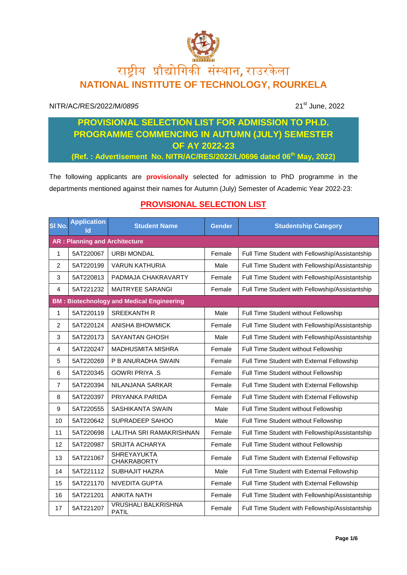## राष्ट्रीय प्रौद्योगिकी संस्थान**,** राउरके ला **NATIONAL INSTITUTE OF TECHNOLOGY, ROURKELA**

## NITR/AC/RES/2022/M/*0895* 21<sup>st</sup> June, 2022

## **PROVISIONAL SELECTION LIST FOR ADMISSION TO PH.D. PROGRAMME COMMENCING IN AUTUMN (JULY) SEMESTER OF AY 2022-23**

**(Ref. : Advertisement No. NITR/AC/RES/2022/L/0696 dated 06th May, 2022)**

The following applicants are **provisionally** selected for admission to PhD programme in the departments mentioned against their names for Autumn (July) Semester of Academic Year 2022-23:

## **PROVISIONAL SELECTION LIST**

| SI No.         | <b>Application</b><br>Id             | <b>Student Name</b>                              | <b>Gender</b> | <b>Studentship Category</b>                     |  |  |  |
|----------------|--------------------------------------|--------------------------------------------------|---------------|-------------------------------------------------|--|--|--|
|                | <b>AR: Planning and Architecture</b> |                                                  |               |                                                 |  |  |  |
| 1              | 5AT220067                            | <b>URBI MONDAL</b>                               | Female        | Full Time Student with Fellowship/Assistantship |  |  |  |
| $\overline{2}$ | 5AT220199                            | <b>VARUN KATHURIA</b>                            | Male          | Full Time Student with Fellowship/Assistantship |  |  |  |
| 3              | 5AT220813                            | PADMAJA CHAKRAVARTY                              | Female        | Full Time Student with Fellowship/Assistantship |  |  |  |
| 4              | 5AT221232                            | <b>MAITRYEE SARANGI</b>                          | Female        | Full Time Student with Fellowship/Assistantship |  |  |  |
|                |                                      | <b>BM: Biotechnology and Medical Engineering</b> |               |                                                 |  |  |  |
| 1              | 5AT220119                            | <b>SREEKANTH R</b>                               | Male          | Full Time Student without Fellowship            |  |  |  |
| $\overline{c}$ | 5AT220124                            | <b>ANISHA BHOWMICK</b>                           | Female        | Full Time Student with Fellowship/Assistantship |  |  |  |
| 3              | 5AT220173                            | <b>SAYANTAN GHOSH</b>                            | Male          | Full Time Student with Fellowship/Assistantship |  |  |  |
| $\overline{4}$ | 5AT220247                            | <b>MADHUSMITA MISHRA</b>                         | Female        | Full Time Student without Fellowship            |  |  |  |
| 5              | 5AT220269                            | P B ANURADHA SWAIN                               | Female        | Full Time Student with External Fellowship      |  |  |  |
| 6              | 5AT220345                            | <b>GOWRI PRIYA .S</b>                            | Female        | Full Time Student without Fellowship            |  |  |  |
| $\overline{7}$ | 5AT220394                            | NILANJANA SARKAR                                 | Female        | Full Time Student with External Fellowship      |  |  |  |
| 8              | 5AT220397                            | PRIYANKA PARIDA                                  | Female        | Full Time Student with External Fellowship      |  |  |  |
| 9              | 5AT220555                            | SASHIKANTA SWAIN                                 | Male          | Full Time Student without Fellowship            |  |  |  |
| 10             | 5AT220642                            | SUPRADEEP SAHOO                                  | Male          | Full Time Student without Fellowship            |  |  |  |
| 11             | 5AT220698                            | LALITHA SRI RAMAKRISHNAN                         | Female        | Full Time Student with Fellowship/Assistantship |  |  |  |
| 12             | 5AT220987                            | <b>SRIJITA ACHARYA</b>                           | Female        | Full Time Student without Fellowship            |  |  |  |
| 13             | 5AT221067                            | <b>SHREYAYUKTA</b><br><b>CHAKRABORTY</b>         | Female        | Full Time Student with External Fellowship      |  |  |  |
| 14             | 5AT221112                            | SUBHAJIT HAZRA                                   | Male          | Full Time Student with External Fellowship      |  |  |  |
| 15             | 5AT221170                            | <b>NIVEDITA GUPTA</b>                            | Female        | Full Time Student with External Fellowship      |  |  |  |
| 16             | 5AT221201                            | <b>ANKITA NATH</b>                               | Female        | Full Time Student with Fellowship/Assistantship |  |  |  |
| 17             | 5AT221207                            | <b>VRUSHALI BALKRISHNA</b><br><b>PATIL</b>       | Female        | Full Time Student with Fellowship/Assistantship |  |  |  |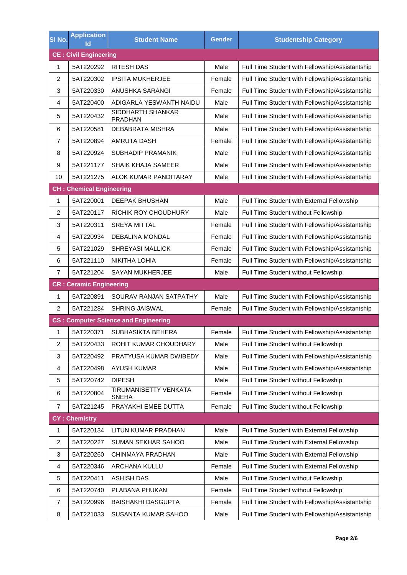| SI No.                       | <b>Application</b><br>lo        | <b>Student Name</b>                         | <b>Gender</b> | <b>Studentship Category</b>                     |  |  |
|------------------------------|---------------------------------|---------------------------------------------|---------------|-------------------------------------------------|--|--|
| <b>CE: Civil Engineering</b> |                                 |                                             |               |                                                 |  |  |
| $\mathbf{1}$                 | 5AT220292                       | <b>RITESH DAS</b>                           | Male          | Full Time Student with Fellowship/Assistantship |  |  |
| $\overline{c}$               | 5AT220302                       | <b>IPSITA MUKHERJEE</b>                     | Female        | Full Time Student with Fellowship/Assistantship |  |  |
| 3                            | 5AT220330                       | ANUSHKA SARANGI                             | Female        | Full Time Student with Fellowship/Assistantship |  |  |
| $\overline{4}$               | 5AT220400                       | ADIGARLA YESWANTH NAIDU                     | Male          | Full Time Student with Fellowship/Assistantship |  |  |
| 5                            | 5AT220432                       | SIDDHARTH SHANKAR<br><b>PRADHAN</b>         | Male          | Full Time Student with Fellowship/Assistantship |  |  |
| 6                            | 5AT220581                       | <b>DEBABRATA MISHRA</b>                     | Male          | Full Time Student with Fellowship/Assistantship |  |  |
| $\overline{7}$               | 5AT220894                       | <b>AMRUTA DASH</b>                          | Female        | Full Time Student with Fellowship/Assistantship |  |  |
| 8                            | 5AT220924                       | <b>SUBHADIP PRAMANIK</b>                    | Male          | Full Time Student with Fellowship/Assistantship |  |  |
| 9                            | 5AT221177                       | <b>SHAIK KHAJA SAMEER</b>                   | Male          | Full Time Student with Fellowship/Assistantship |  |  |
| 10                           | 5AT221275                       | ALOK KUMAR PANDITARAY                       | Male          | Full Time Student with Fellowship/Assistantship |  |  |
|                              | <b>CH: Chemical Engineering</b> |                                             |               |                                                 |  |  |
| 1                            | 5AT220001                       | <b>DEEPAK BHUSHAN</b>                       | Male          | Full Time Student with External Fellowship      |  |  |
| 2                            | 5AT220117                       | RICHIK ROY CHOUDHURY                        | Male          | Full Time Student without Fellowship            |  |  |
| 3                            | 5AT220311                       | <b>SREYA MITTAL</b>                         | Female        | Full Time Student with Fellowship/Assistantship |  |  |
| 4                            | 5AT220934                       | <b>DEBALINA MONDAL</b>                      | Female        | Full Time Student with Fellowship/Assistantship |  |  |
| 5                            | 5AT221029                       | <b>SHREYASI MALLICK</b>                     | Female        | Full Time Student with Fellowship/Assistantship |  |  |
| 6                            | 5AT221110                       | <b>NIKITHA LOHIA</b>                        | Female        | Full Time Student with Fellowship/Assistantship |  |  |
| $\overline{7}$               | 5AT221204                       | <b>SAYAN MUKHERJEE</b>                      | Male          | Full Time Student without Fellowship            |  |  |
|                              | <b>CR: Ceramic Engineering</b>  |                                             |               |                                                 |  |  |
| 1                            | 5AT220891                       | SOURAV RANJAN SATPATHY                      | Male          | Full Time Student with Fellowship/Assistantship |  |  |
| 2                            | 5AT221284                       | SHRING JAISWAL                              | Female        | Full Time Student with Fellowship/Assistantship |  |  |
|                              |                                 | <b>CS: Computer Science and Engineering</b> |               |                                                 |  |  |
| 1                            | 5AT220371                       | SUBHASIKTA BEHERA                           | Female        | Full Time Student with Fellowship/Assistantship |  |  |
| $\overline{\mathbf{c}}$      | 5AT220433                       | ROHIT KUMAR CHOUDHARY                       | Male          | Full Time Student without Fellowship            |  |  |
| 3                            | 5AT220492                       | PRATYUSA KUMAR DWIBEDY                      | Male          | Full Time Student with Fellowship/Assistantship |  |  |
| 4                            | 5AT220498                       | <b>AYUSH KUMAR</b>                          | Male          | Full Time Student with Fellowship/Assistantship |  |  |
| 5                            | 5AT220742                       | <b>DIPESH</b>                               | Male          | Full Time Student without Fellowship            |  |  |
| 6                            | 5AT220804                       | TIRUMANISETTY VENKATA<br><b>SNEHA</b>       | Female        | Full Time Student without Fellowship            |  |  |
| $\overline{7}$               | 5AT221245                       | PRAYAKHI EMEE DUTTA                         | Female        | Full Time Student without Fellowship            |  |  |
| <b>CY: Chemistry</b>         |                                 |                                             |               |                                                 |  |  |
| 1                            | 5AT220134                       | LITUN KUMAR PRADHAN                         | Male          | Full Time Student with External Fellowship      |  |  |
| $\overline{\mathbf{c}}$      | 5AT220227                       | SUMAN SEKHAR SAHOO                          | Male          | Full Time Student with External Fellowship      |  |  |
| 3                            | 5AT220260                       | CHINMAYA PRADHAN                            | Male          | Full Time Student with External Fellowship      |  |  |
| 4                            | 5AT220346                       | ARCHANA KULLU                               | Female        | Full Time Student with External Fellowship      |  |  |
| 5                            | 5AT220411                       | <b>ASHISH DAS</b>                           | Male          | Full Time Student without Fellowship            |  |  |
| 6                            | 5AT220740                       | PLABANA PHUKAN                              | Female        | Full Time Student without Fellowship            |  |  |
| 7                            | 5AT220996                       | <b>BAISHAKHI DASGUPTA</b>                   | Female        | Full Time Student with Fellowship/Assistantship |  |  |
| 8                            | 5AT221033                       | SUSANTA KUMAR SAHOO                         | Male          | Full Time Student with Fellowship/Assistantship |  |  |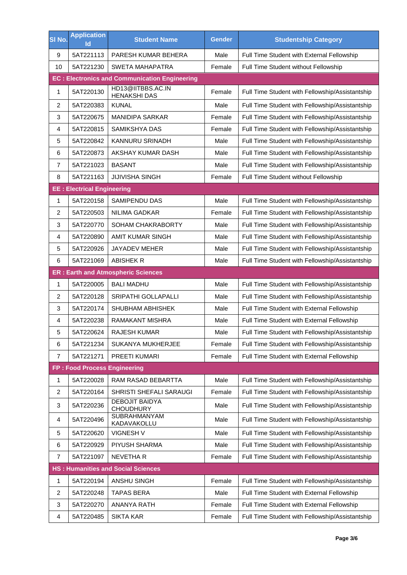| SI No.                  | <b>Application</b><br>Id                  | <b>Student Name</b>                                  | <b>Gender</b> | <b>Studentship Category</b>                     |  |  |
|-------------------------|-------------------------------------------|------------------------------------------------------|---------------|-------------------------------------------------|--|--|
| 9                       | 5AT221113                                 | PARESH KUMAR BEHERA                                  | Male          | Full Time Student with External Fellowship      |  |  |
| 10                      | 5AT221230                                 | <b>SWETA MAHAPATRA</b>                               | Female        | Full Time Student without Fellowship            |  |  |
|                         |                                           | <b>EC: Electronics and Communication Engineering</b> |               |                                                 |  |  |
| 1                       | 5AT220130                                 | HD13@IITBBS.AC.IN<br><b>HENAKSHI DAS</b>             | Female        | Full Time Student with Fellowship/Assistantship |  |  |
| $\overline{c}$          | 5AT220383                                 | <b>KUNAL</b>                                         | Male          | Full Time Student with Fellowship/Assistantship |  |  |
| 3                       | 5AT220675                                 | <b>MANIDIPA SARKAR</b>                               | Female        | Full Time Student with Fellowship/Assistantship |  |  |
| 4                       | 5AT220815                                 | <b>SAMIKSHYA DAS</b>                                 | Female        | Full Time Student with Fellowship/Assistantship |  |  |
| 5                       | 5AT220842                                 | KANNURU SRINADH                                      | Male          | Full Time Student with Fellowship/Assistantship |  |  |
| 6                       | 5AT220873                                 | AKSHAY KUMAR DASH                                    | Male          | Full Time Student with Fellowship/Assistantship |  |  |
| $\overline{7}$          | 5AT221023                                 | <b>BASANT</b>                                        | Male          | Full Time Student with Fellowship/Assistantship |  |  |
| 8                       | 5AT221163                                 | <b>JIJIVISHA SINGH</b>                               | Female        | Full Time Student without Fellowship            |  |  |
|                         | <b>EE: Electrical Engineering</b>         |                                                      |               |                                                 |  |  |
| 1                       | 5AT220158                                 | <b>SAMIPENDU DAS</b>                                 | Male          | Full Time Student with Fellowship/Assistantship |  |  |
| 2                       | 5AT220503                                 | <b>NILIMA GADKAR</b>                                 | Female        | Full Time Student with Fellowship/Assistantship |  |  |
| 3                       | 5AT220770                                 | <b>SOHAM CHAKRABORTY</b>                             | Male          | Full Time Student with Fellowship/Assistantship |  |  |
| 4                       | 5AT220890                                 | AMIT KUMAR SINGH                                     | Male          | Full Time Student with Fellowship/Assistantship |  |  |
| 5                       | 5AT220926                                 | JAYADEV MEHER                                        | Male          | Full Time Student with Fellowship/Assistantship |  |  |
| 6                       | 5AT221069                                 | <b>ABISHEK R</b>                                     | Male          | Full Time Student with Fellowship/Assistantship |  |  |
|                         |                                           | <b>ER: Earth and Atmospheric Sciences</b>            |               |                                                 |  |  |
| 1                       | 5AT220005                                 | <b>BALI MADHU</b>                                    | Male          | Full Time Student with Fellowship/Assistantship |  |  |
| $\overline{2}$          | 5AT220128                                 | SRIPATHI GOLLAPALLI                                  | Male          | Full Time Student with Fellowship/Assistantship |  |  |
| 3                       | 5AT220174                                 | SHUBHAM ABHISHEK                                     | Male          | Full Time Student with External Fellowship      |  |  |
| $\overline{4}$          | 5AT220238                                 | RAMAKANT MISHRA                                      | Male          | Full Time Student with External Fellowship      |  |  |
| 5                       | 5AT220624                                 | <b>RAJESH KUMAR</b>                                  | Male          | Full Time Student with Fellowship/Assistantship |  |  |
| 6                       | 5AT221234                                 | SUKANYA MUKHERJEE                                    | Female        | Full Time Student with Fellowship/Assistantship |  |  |
| $\overline{7}$          | 5AT221271                                 | PREETI KUMARI                                        | Female        | Full Time Student with External Fellowship      |  |  |
|                         | FP: Food Process Engineering              |                                                      |               |                                                 |  |  |
| 1                       | 5AT220028                                 | <b>RAM RASAD BEBARTTA</b>                            | Male          | Full Time Student with Fellowship/Assistantship |  |  |
| $\overline{\mathbf{c}}$ | 5AT220164                                 | SHRISTI SHEFALI SARAUGI                              | Female        | Full Time Student with Fellowship/Assistantship |  |  |
| 3                       | 5AT220236                                 | <b>DEBOJIT BAIDYA</b><br><b>CHOUDHURY</b>            | Male          | Full Time Student with Fellowship/Assistantship |  |  |
| 4                       | 5AT220496                                 | <b>SUBRAHMANYAM</b><br>KADAVAKOLLU                   | Male          | Full Time Student with Fellowship/Assistantship |  |  |
| 5                       | 5AT220620                                 | VIGNESH V                                            | Male          | Full Time Student with Fellowship/Assistantship |  |  |
| 6                       | 5AT220929                                 | PIYUSH SHARMA                                        | Male          | Full Time Student with Fellowship/Assistantship |  |  |
| 7                       | 5AT221097                                 | NEVETHA R                                            | Female        | Full Time Student with Fellowship/Assistantship |  |  |
|                         | <b>HS: Humanities and Social Sciences</b> |                                                      |               |                                                 |  |  |
| 1                       | 5AT220194                                 | ANSHU SINGH                                          | Female        | Full Time Student with Fellowship/Assistantship |  |  |
| $\overline{c}$          | 5AT220248                                 | <b>TAPAS BERA</b>                                    | Male          | Full Time Student with External Fellowship      |  |  |
| 3                       | 5AT220270                                 | <b>ANANYA RATH</b>                                   | Female        | Full Time Student with External Fellowship      |  |  |
| 4                       | 5AT220485                                 | <b>SIKTA KAR</b>                                     | Female        | Full Time Student with Fellowship/Assistantship |  |  |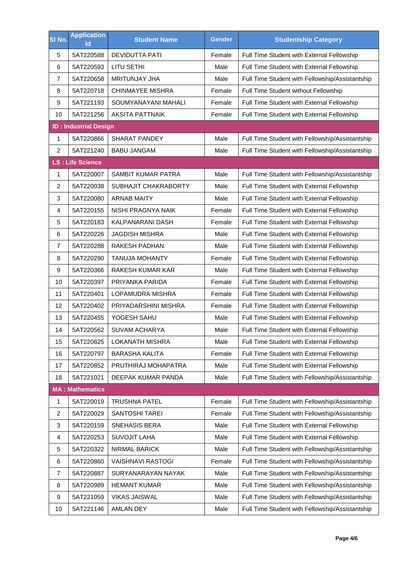| SI No.         | <b>Application</b><br>Id     | <b>Student Name</b>       | <b>Gender</b> | <b>Studentship Category</b>                     |  |  |
|----------------|------------------------------|---------------------------|---------------|-------------------------------------------------|--|--|
| 5              | 5AT220588                    | <b>DEVIDUTTA PATI</b>     | Female        | Full Time Student with External Fellowship      |  |  |
| 6              | 5AT220593                    | LITU SETHI                | Male          | Full Time Student with External Fellowship      |  |  |
| $\overline{7}$ | 5AT220658                    | <b>MRITUNJAY JHA</b>      | Male          | Full Time Student with Fellowship/Assistantship |  |  |
| 8              | 5AT220718                    | CHINMAYEE MISHRA          | Female        | Full Time Student without Fellowship            |  |  |
| 9              | 5AT221193                    | SOUMYANAYANI MAHALI       | Female        | Full Time Student with External Fellowship      |  |  |
| 10             | 5AT221256                    | <b>AKSITA PATTNAIK</b>    | Female        | Full Time Student with External Fellowship      |  |  |
|                | <b>ID: Industrial Design</b> |                           |               |                                                 |  |  |
| 1              | 5AT220866                    | <b>SHARAT PANDEY</b>      | Male          | Full Time Student with Fellowship/Assistantship |  |  |
| $\overline{c}$ | 5AT221240                    | <b>BABU JANGAM</b>        | Male          | Full Time Student with Fellowship/Assistantship |  |  |
|                | <b>LS: Life Science</b>      |                           |               |                                                 |  |  |
| $\mathbf{1}$   | 5AT220007                    | <b>SAMBIT KUMAR PATRA</b> | Male          | Full Time Student with Fellowship/Assistantship |  |  |
| $\overline{c}$ | 5AT220038                    | SUBHAJIT CHAKRABORTY      | Male          | Full Time Student with External Fellowship      |  |  |
| 3              | 5AT220080                    | <b>ARNAB MAITY</b>        | Male          | Full Time Student with External Fellowship      |  |  |
| $\overline{4}$ | 5AT220155                    | NISHI PRAGNYA NAIK        | Female        | Full Time Student with External Fellowship      |  |  |
| 5              | 5AT220183                    | <b>KALPANARANI DASH</b>   | Female        | Full Time Student with External Fellowship      |  |  |
| 6              | 5AT220226                    | <b>JAGDISH MISHRA</b>     | Male          | Full Time Student with External Fellowship      |  |  |
| $\overline{7}$ | 5AT220288                    | RAKESH PADHAN             | Male          | Full Time Student with External Fellowship      |  |  |
| 8              | 5AT220290                    | <b>TANUJA MOHANTY</b>     | Female        | Full Time Student with External Fellowship      |  |  |
| 9              | 5AT220366                    | RAKESH KUMAR KAR          | Male          | Full Time Student with External Fellowship      |  |  |
| 10             | 5AT220397                    | PRIYANKA PARIDA           | Female        | Full Time Student with External Fellowship      |  |  |
| 11             | 5AT220401                    | LOPAMUDRA MISHRA          | Female        | Full Time Student with External Fellowship      |  |  |
| 12             | 5AT220402                    | PRIYADARSHINI MISHRA      | Female        | Full Time Student with External Fellowship      |  |  |
| 13             | 5AT220455                    | YOGESH SAHU               | Male          | Full Time Student with External Fellowship      |  |  |
| 14             | 5AT220562                    | <b>SUVAM ACHARYA</b>      | Male          | Full Time Student with External Fellowship      |  |  |
| 15             | 5AT220625                    | <b>LOKANATH MISHRA</b>    | Male          | Full Time Student with External Fellowship      |  |  |
| 16             | 5AT220797                    | <b>BARASHA KALITA</b>     | Female        | Full Time Student with External Fellowship      |  |  |
| 17             | 5AT220852                    | PRUTHIRAJ MOHAPATRA       | Male          | Full Time Student with External Fellowship      |  |  |
| 18             | 5AT221021                    | DEEPAK KUMAR PANDA        | Male          | Full Time Student with Fellowship/Assistantship |  |  |
|                | <b>MA: Mathematics</b>       |                           |               |                                                 |  |  |
| $\mathbf{1}$   | 5AT220019                    | <b>TRUSHNA PATEL</b>      | Female        | Full Time Student with Fellowship/Assistantship |  |  |
| $\overline{c}$ | 5AT220029                    | SANTOSHI TAREI            | Female        | Full Time Student with Fellowship/Assistantship |  |  |
| 3              | 5AT220159                    | <b>SNEHASIS BERA</b>      | Male          | Full Time Student with External Fellowship      |  |  |
| 4              | 5AT220253                    | <b>SUVOJIT LAHA</b>       | Male          | Full Time Student with External Fellowship      |  |  |
| 5              | 5AT220322                    | NIRMAL BARICK             | Male          | Full Time Student with Fellowship/Assistantship |  |  |
| 6              | 5AT220860                    | <b>VAISHNAVI RASTOGI</b>  | Female        | Full Time Student with Fellowship/Assistantship |  |  |
| $\overline{7}$ | 5AT220887                    | SURYANARAYAN NAYAK        | Male          | Full Time Student with Fellowship/Assistantship |  |  |
| 8              | 5AT220989                    | <b>HEMANT KUMAR</b>       | Male          | Full Time Student with Fellowship/Assistantship |  |  |
| 9              | 5AT221059                    | <b>VIKAS JAISWAL</b>      | Male          | Full Time Student with Fellowship/Assistantship |  |  |
| 10             | 5AT221146                    | AMLAN DEY                 | Male          | Full Time Student with Fellowship/Assistantship |  |  |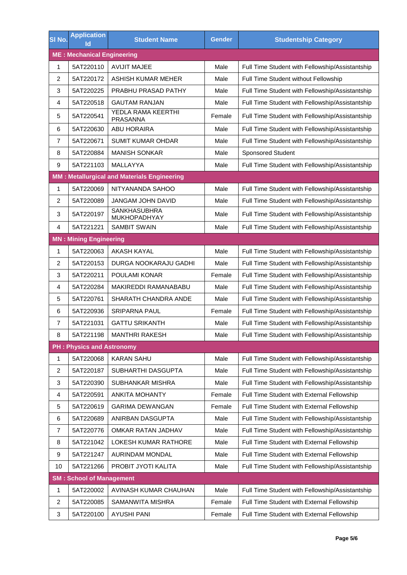| SI No.                            | <b>Application</b><br>lo         | <b>Student Name</b>                                | <b>Gender</b> | <b>Studentship Category</b>                     |  |  |
|-----------------------------------|----------------------------------|----------------------------------------------------|---------------|-------------------------------------------------|--|--|
| <b>ME: Mechanical Engineering</b> |                                  |                                                    |               |                                                 |  |  |
| $\mathbf{1}$                      | 5AT220110                        | <b>AVIJIT MAJEE</b>                                | Male          | Full Time Student with Fellowship/Assistantship |  |  |
| $\overline{c}$                    | 5AT220172                        | ASHISH KUMAR MEHER                                 | Male          | Full Time Student without Fellowship            |  |  |
| 3                                 | 5AT220225                        | PRABHU PRASAD PATHY                                | Male          | Full Time Student with Fellowship/Assistantship |  |  |
| 4                                 | 5AT220518                        | <b>GAUTAM RANJAN</b>                               | Male          | Full Time Student with Fellowship/Assistantship |  |  |
| 5                                 | 5AT220541                        | YEDLA RAMA KEERTHI<br>PRASANNA                     | Female        | Full Time Student with Fellowship/Assistantship |  |  |
| 6                                 | 5AT220630                        | <b>ABU HORAIRA</b>                                 | Male          | Full Time Student with Fellowship/Assistantship |  |  |
| 7                                 | 5AT220671                        | <b>SUMIT KUMAR OHDAR</b>                           | Male          | Full Time Student with Fellowship/Assistantship |  |  |
| 8                                 | 5AT220884                        | <b>MANISH SONKAR</b>                               | Male          | Sponsored Student                               |  |  |
| $\boldsymbol{9}$                  | 5AT221103                        | MALLAYYA                                           | Male          | Full Time Student with Fellowship/Assistantship |  |  |
|                                   |                                  | <b>MM: Metallurgical and Materials Engineering</b> |               |                                                 |  |  |
| $\mathbf{1}$                      | 5AT220069                        | NITYANANDA SAHOO                                   | Male          | Full Time Student with Fellowship/Assistantship |  |  |
| $\overline{2}$                    | 5AT220089                        | <b>JANGAM JOHN DAVID</b>                           | Male          | Full Time Student with Fellowship/Assistantship |  |  |
| 3                                 | 5AT220197                        | <b>SANKHASUBHRA</b><br>MUKHOPADHYAY                | Male          | Full Time Student with Fellowship/Assistantship |  |  |
| $\overline{4}$                    | 5AT221221                        | <b>SAMBIT SWAIN</b>                                | Male          | Full Time Student with Fellowship/Assistantship |  |  |
|                                   | <b>MN: Mining Engineering</b>    |                                                    |               |                                                 |  |  |
| 1                                 | 5AT220063                        | <b>AKASH KAYAL</b>                                 | Male          | Full Time Student with Fellowship/Assistantship |  |  |
| $\overline{2}$                    | 5AT220153                        | DURGA NOOKARAJU GADHI                              | Male          | Full Time Student with Fellowship/Assistantship |  |  |
| 3                                 | 5AT220211                        | POULAMI KONAR                                      | Female        | Full Time Student with Fellowship/Assistantship |  |  |
| 4                                 | 5AT220284                        | MAKIREDDI RAMANABABU                               | Male          | Full Time Student with Fellowship/Assistantship |  |  |
| 5                                 | 5AT220761                        | SHARATH CHANDRA ANDE                               | Male          | Full Time Student with Fellowship/Assistantship |  |  |
| 6                                 | 5AT220936                        | <b>SRIPARNA PAUL</b>                               | Female        | Full Time Student with Fellowship/Assistantship |  |  |
| $\overline{7}$                    | 5AT221031                        | <b>GATTU SRIKANTH</b>                              | Male          | Full Time Student with Fellowship/Assistantship |  |  |
| 8                                 | 5AT221198                        | <b>MANTHRI RAKESH</b>                              | Male          | Full Time Student with Fellowship/Assistantship |  |  |
|                                   | <b>PH: Physics and Astronomy</b> |                                                    |               |                                                 |  |  |
| 1                                 | 5AT220068                        | <b>KARAN SAHU</b>                                  | Male          | Full Time Student with Fellowship/Assistantship |  |  |
| $\overline{\mathbf{c}}$           | 5AT220187                        | SUBHARTHI DASGUPTA                                 | Male          | Full Time Student with Fellowship/Assistantship |  |  |
| 3                                 | 5AT220390                        | SUBHANKAR MISHRA                                   | Male          | Full Time Student with Fellowship/Assistantship |  |  |
| 4                                 | 5AT220591                        | <b>ANKITA MOHANTY</b>                              | Female        | Full Time Student with External Fellowship      |  |  |
| 5                                 | 5AT220619                        | <b>GARIMA DEWANGAN</b>                             | Female        | Full Time Student with External Fellowship      |  |  |
| 6                                 | 5AT220689                        | ANIRBAN DASGUPTA                                   | Male          | Full Time Student with Fellowship/Assistantship |  |  |
| $\overline{7}$                    | 5AT220776                        | OMKAR RATAN JADHAV                                 | Male          | Full Time Student with Fellowship/Assistantship |  |  |
| 8                                 | 5AT221042                        | LOKESH KUMAR RATHORE                               | Male          | Full Time Student with External Fellowship      |  |  |
| 9                                 | 5AT221247                        | AURINDAM MONDAL                                    | Male          | Full Time Student with External Fellowship      |  |  |
| 10                                | 5AT221266                        | PROBIT JYOTI KALITA                                | Male          | Full Time Student with Fellowship/Assistantship |  |  |
|                                   | <b>SM: School of Management</b>  |                                                    |               |                                                 |  |  |
| 1                                 | 5AT220002                        | AVINASH KUMAR CHAUHAN                              | Male          | Full Time Student with Fellowship/Assistantship |  |  |
| $\overline{\mathbf{c}}$           | 5AT220085                        | SAMANWITA MISHRA                                   | Female        | Full Time Student with External Fellowship      |  |  |
| 3                                 | 5AT220100                        | <b>AYUSHI PANI</b>                                 | Female        | Full Time Student with External Fellowship      |  |  |